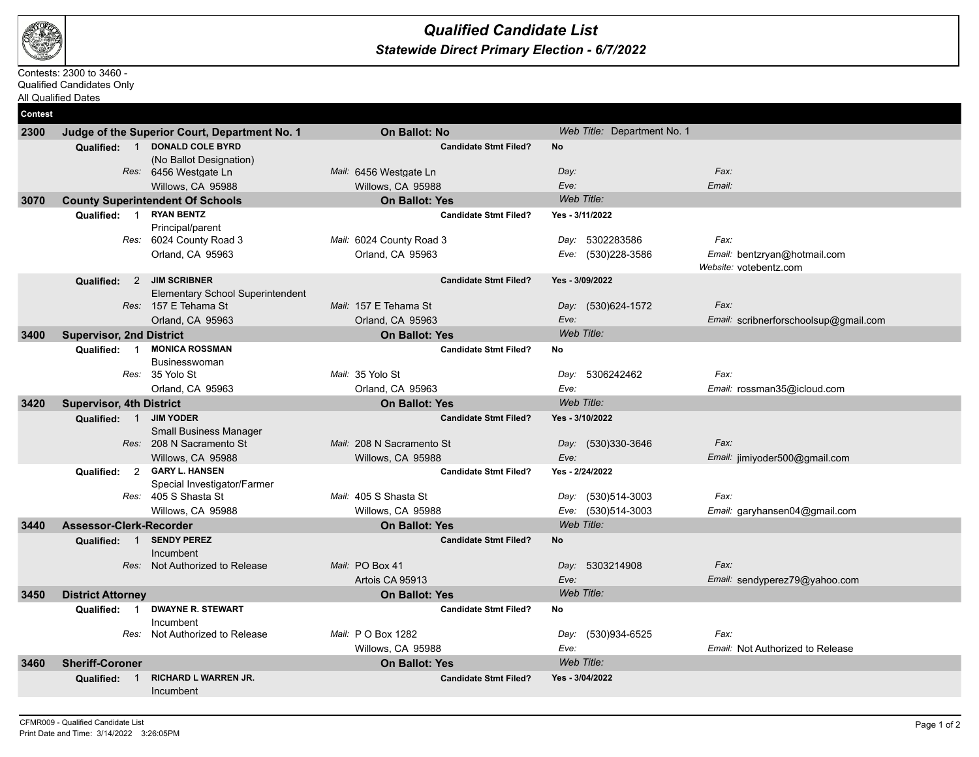

## *Statewide Direct Primary Election - 6/7/2022 Qualified Candidate List*

## Contests: 2300 to 3460 -

Qualified Candidates Only

All Qualified Dates

| <b>Contest</b> |                                                             |                              |                             |                                                        |
|----------------|-------------------------------------------------------------|------------------------------|-----------------------------|--------------------------------------------------------|
| 2300           | Judge of the Superior Court, Department No. 1               | <b>On Ballot: No</b>         | Web Title: Department No. 1 |                                                        |
|                | <b>DONALD COLE BYRD</b><br>Qualified: 1                     | <b>Candidate Stmt Filed?</b> | <b>No</b>                   |                                                        |
|                | (No Ballot Designation)                                     |                              |                             |                                                        |
|                | Res: 6456 Westgate Ln                                       | Mail: 6456 Westgate Ln       | Day:                        | Fax:                                                   |
|                | Willows, CA 95988                                           | Willows, CA 95988            | Eve:                        | Email:                                                 |
| 3070           | <b>County Superintendent Of Schools</b>                     | <b>On Ballot: Yes</b>        | Web Title:                  |                                                        |
|                | <b>RYAN BENTZ</b><br>Qualified: 1                           | <b>Candidate Stmt Filed?</b> | Yes - 3/11/2022             |                                                        |
|                | Principal/parent                                            |                              |                             |                                                        |
|                | Res: 6024 County Road 3                                     | Mail: 6024 County Road 3     | 5302283586<br>Day:          | Fax:                                                   |
|                | Orland, CA 95963                                            | Orland, CA 95963             | (530)228-3586<br>Eve:       | Email: bentzryan@hotmail.com<br>Website: votebentz.com |
|                | Qualified: 2 JIM SCRIBNER                                   | <b>Candidate Stmt Filed?</b> | Yes - 3/09/2022             |                                                        |
|                | <b>Elementary School Superintendent</b>                     |                              |                             |                                                        |
|                | Res: 157 E Tehama St                                        | Mail: 157 E Tehama St        | Day: (530)624-1572          | Fax:                                                   |
|                | Orland, CA 95963                                            | Orland, CA 95963             | Eve:                        | Email: scribnerforschoolsup@gmail.com                  |
| 3400           | <b>Supervisor, 2nd District</b>                             | <b>On Ballot: Yes</b>        | Web Title:                  |                                                        |
|                | <b>MONICA ROSSMAN</b><br>$\overline{1}$<br>Qualified:       | <b>Candidate Stmt Filed?</b> | No                          |                                                        |
|                | <b>Businesswoman</b>                                        |                              |                             |                                                        |
|                | Res: 35 Yolo St                                             | Mail: 35 Yolo St             | Day: 5306242462             | Fax:                                                   |
|                | Orland, CA 95963                                            | Orland, CA 95963             | Eve:                        | Email: rossman35@icloud.com                            |
| 3420           | <b>Supervisor, 4th District</b>                             | <b>On Ballot: Yes</b>        | Web Title:                  |                                                        |
|                | Qualified: 1 JIM YODER                                      | <b>Candidate Stmt Filed?</b> | Yes - 3/10/2022             |                                                        |
|                | <b>Small Business Manager</b>                               |                              |                             |                                                        |
|                | Res: 208 N Sacramento St                                    | Mail: 208 N Sacramento St    | Day: (530)330-3646          | Fax:                                                   |
|                | Willows, CA 95988                                           | Willows, CA 95988            | Eve:                        | Email: jimiyoder500@gmail.com                          |
|                | <b>GARY L. HANSEN</b><br>$\overline{2}$<br>Qualified:       | <b>Candidate Stmt Filed?</b> | Yes - 2/24/2022             |                                                        |
|                | Special Investigator/Farmer                                 |                              |                             | Fax:                                                   |
|                | Res: 405 S Shasta St                                        | Mail: 405 S Shasta St        | (530)514-3003<br>Day:       |                                                        |
|                | Willows, CA 95988                                           | Willows, CA 95988            | Eve:<br>(530)514-3003       | Email: garyhansen04@gmail.com                          |
| 3440           | Assessor-Clerk-Recorder                                     | <b>On Ballot: Yes</b>        | Web Title:                  |                                                        |
|                | <b>SENDY PEREZ</b><br>Qualified: 1                          | <b>Candidate Stmt Filed?</b> | No                          |                                                        |
|                | Incumbent<br>Res: Not Authorized to Release                 | Mail: PO Box 41              | Day: 5303214908             | Fax:                                                   |
|                |                                                             | Artois CA 95913              | Eve:                        |                                                        |
|                |                                                             |                              | Web Title:                  | Email: sendyperez79@yahoo.com                          |
| 3450           | <b>District Attorney</b>                                    | <b>On Ballot: Yes</b>        |                             |                                                        |
|                | <b>DWAYNE R. STEWART</b><br>Qualified: 1<br>Incumbent       | <b>Candidate Stmt Filed?</b> | No                          |                                                        |
|                | Res: Not Authorized to Release                              | Mail: P O Box 1282           | (530)934-6525<br>Day:       | Fax:                                                   |
|                |                                                             | Willows, CA 95988            | Eve:                        | Email: Not Authorized to Release                       |
| 3460           | <b>Sheriff-Coroner</b>                                      | <b>On Ballot: Yes</b>        | Web Title:                  |                                                        |
|                | <b>RICHARD L WARREN JR.</b><br>Qualified:<br>$\overline{1}$ | <b>Candidate Stmt Filed?</b> | Yes - 3/04/2022             |                                                        |
|                | Incumbent                                                   |                              |                             |                                                        |